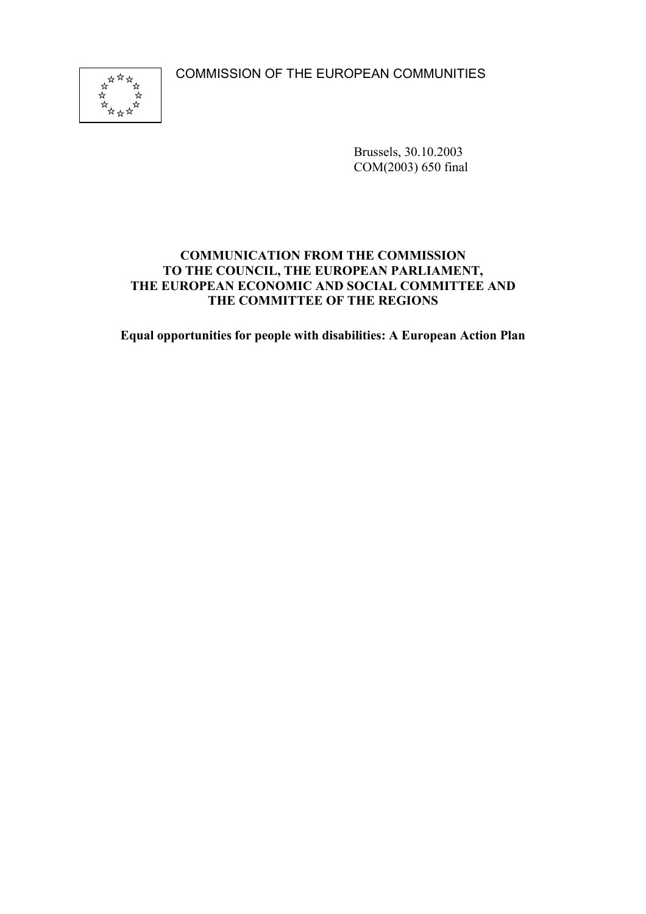COMMISSION OF THE EUROPEAN COMMUNITIES



Brussels, 30.10.2003 COM(2003) 650 final

### **COMMUNICATION FROM THE COMMISSION TO THE COUNCIL, THE EUROPEAN PARLIAMENT, THE EUROPEAN ECONOMIC AND SOCIAL COMMITTEE AND THE COMMITTEE OF THE REGIONS**

**Equal opportunities for people with disabilities: A European Action Plan**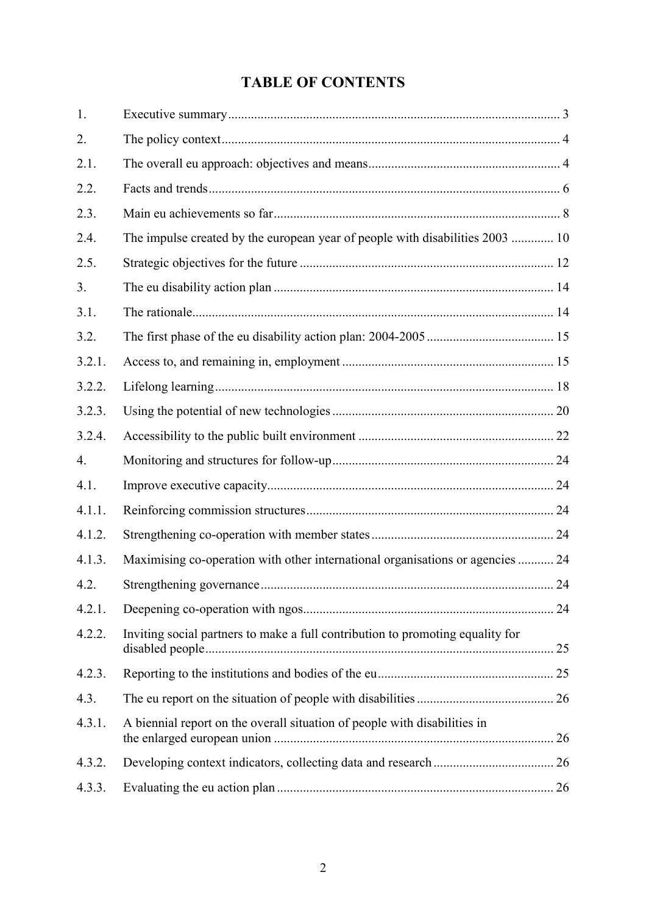# **TABLE OF CONTENTS**

| 1.     |                                                                                |    |
|--------|--------------------------------------------------------------------------------|----|
| 2.     |                                                                                |    |
| 2.1.   |                                                                                |    |
| 2.2.   |                                                                                |    |
| 2.3.   |                                                                                |    |
| 2.4.   | The impulse created by the european year of people with disabilities 2003  10  |    |
| 2.5.   |                                                                                |    |
| 3.     |                                                                                |    |
| 3.1.   |                                                                                |    |
| 3.2.   |                                                                                |    |
| 3.2.1. |                                                                                |    |
| 3.2.2. |                                                                                |    |
| 3.2.3. |                                                                                |    |
| 3.2.4. |                                                                                |    |
| 4.     |                                                                                |    |
| 4.1.   |                                                                                |    |
| 4.1.1. |                                                                                |    |
| 4.1.2. |                                                                                |    |
| 4.1.3. | Maximising co-operation with other international organisations or agencies  24 |    |
| 4.2.   |                                                                                |    |
| 4.2.1. |                                                                                | 24 |
| 4.2.2. | Inviting social partners to make a full contribution to promoting equality for |    |
| 4.2.3. |                                                                                |    |
| 4.3.   |                                                                                |    |
| 4.3.1. | A biennial report on the overall situation of people with disabilities in      |    |
| 4.3.2. |                                                                                |    |
| 4.3.3. |                                                                                |    |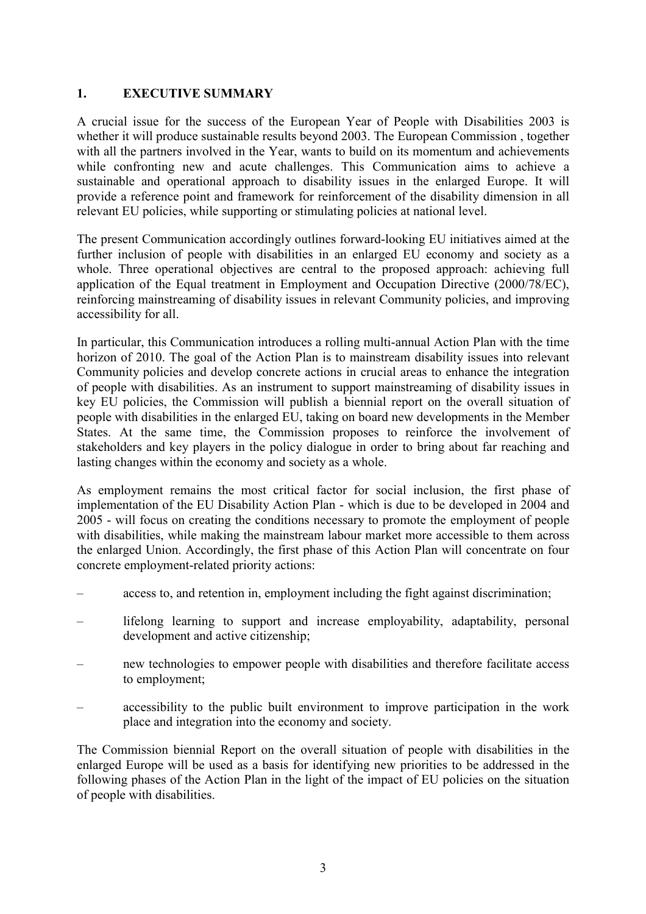### **1. EXECUTIVE SUMMARY**

A crucial issue for the success of the European Year of People with Disabilities 2003 is whether it will produce sustainable results beyond 2003. The European Commission , together with all the partners involved in the Year, wants to build on its momentum and achievements while confronting new and acute challenges. This Communication aims to achieve a sustainable and operational approach to disability issues in the enlarged Europe. It will provide a reference point and framework for reinforcement of the disability dimension in all relevant EU policies, while supporting or stimulating policies at national level.

The present Communication accordingly outlines forward-looking EU initiatives aimed at the further inclusion of people with disabilities in an enlarged EU economy and society as a whole. Three operational objectives are central to the proposed approach: achieving full application of the Equal treatment in Employment and Occupation Directive (2000/78/EC), reinforcing mainstreaming of disability issues in relevant Community policies, and improving accessibility for all.

In particular, this Communication introduces a rolling multi-annual Action Plan with the time horizon of 2010. The goal of the Action Plan is to mainstream disability issues into relevant Community policies and develop concrete actions in crucial areas to enhance the integration of people with disabilities. As an instrument to support mainstreaming of disability issues in key EU policies, the Commission will publish a biennial report on the overall situation of people with disabilities in the enlarged EU, taking on board new developments in the Member States. At the same time, the Commission proposes to reinforce the involvement of stakeholders and key players in the policy dialogue in order to bring about far reaching and lasting changes within the economy and society as a whole.

As employment remains the most critical factor for social inclusion, the first phase of implementation of the EU Disability Action Plan - which is due to be developed in 2004 and 2005 - will focus on creating the conditions necessary to promote the employment of people with disabilities, while making the mainstream labour market more accessible to them across the enlarged Union. Accordingly, the first phase of this Action Plan will concentrate on four concrete employment-related priority actions:

- access to, and retention in, employment including the fight against discrimination;
- lifelong learning to support and increase employability, adaptability, personal development and active citizenship;
- new technologies to empower people with disabilities and therefore facilitate access to employment;
- accessibility to the public built environment to improve participation in the work place and integration into the economy and society.

The Commission biennial Report on the overall situation of people with disabilities in the enlarged Europe will be used as a basis for identifying new priorities to be addressed in the following phases of the Action Plan in the light of the impact of EU policies on the situation of people with disabilities.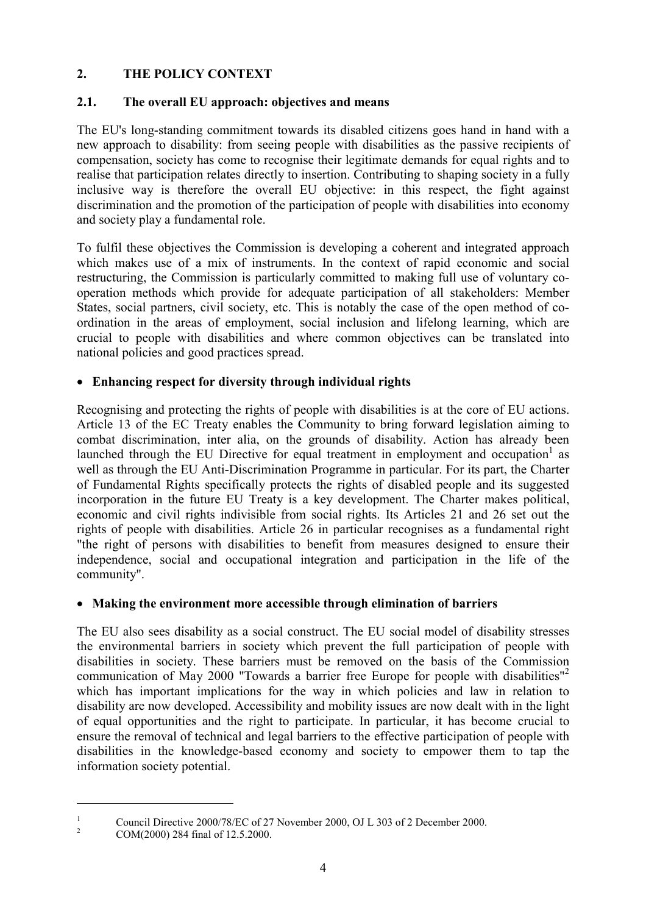# **2. THE POLICY CONTEXT**

# **2.1. The overall EU approach: objectives and means**

The EU's long-standing commitment towards its disabled citizens goes hand in hand with a new approach to disability: from seeing people with disabilities as the passive recipients of compensation, society has come to recognise their legitimate demands for equal rights and to realise that participation relates directly to insertion. Contributing to shaping society in a fully inclusive way is therefore the overall EU objective: in this respect, the fight against discrimination and the promotion of the participation of people with disabilities into economy and society play a fundamental role.

To fulfil these objectives the Commission is developing a coherent and integrated approach which makes use of a mix of instruments. In the context of rapid economic and social restructuring, the Commission is particularly committed to making full use of voluntary cooperation methods which provide for adequate participation of all stakeholders: Member States, social partners, civil society, etc. This is notably the case of the open method of coordination in the areas of employment, social inclusion and lifelong learning, which are crucial to people with disabilities and where common objectives can be translated into national policies and good practices spread.

# **Enhancing respect for diversity through individual rights**

Recognising and protecting the rights of people with disabilities is at the core of EU actions. Article 13 of the EC Treaty enables the Community to bring forward legislation aiming to combat discrimination, inter alia, on the grounds of disability. Action has already been launched through the EU Directive for equal treatment in employment and occupation<sup>1</sup> as well as through the EU Anti-Discrimination Programme in particular. For its part, the Charter of Fundamental Rights specifically protects the rights of disabled people and its suggested incorporation in the future EU Treaty is a key development. The Charter makes political, economic and civil rights indivisible from social rights. Its Articles 21 and 26 set out the rights of people with disabilities. Article 26 in particular recognises as a fundamental right "the right of persons with disabilities to benefit from measures designed to ensure their independence, social and occupational integration and participation in the life of the community".

# **Making the environment more accessible through elimination of barriers**

The EU also sees disability as a social construct. The EU social model of disability stresses the environmental barriers in society which prevent the full participation of people with disabilities in society. These barriers must be removed on the basis of the Commission communication of May 2000 "Towards a barrier free Europe for people with disabilities"<sup>2</sup> which has important implications for the way in which policies and law in relation to disability are now developed. Accessibility and mobility issues are now dealt with in the light of equal opportunities and the right to participate. In particular, it has become crucial to ensure the removal of technical and legal barriers to the effective participation of people with disabilities in the knowledge-based economy and society to empower them to tap the information society potential.

<sup>&</sup>lt;sup>1</sup> Council Directive 2000/78/EC of 27 November 2000, OJ L 303 of 2 December 2000.<br>
COM(2000) 284 final of 12.5.2000.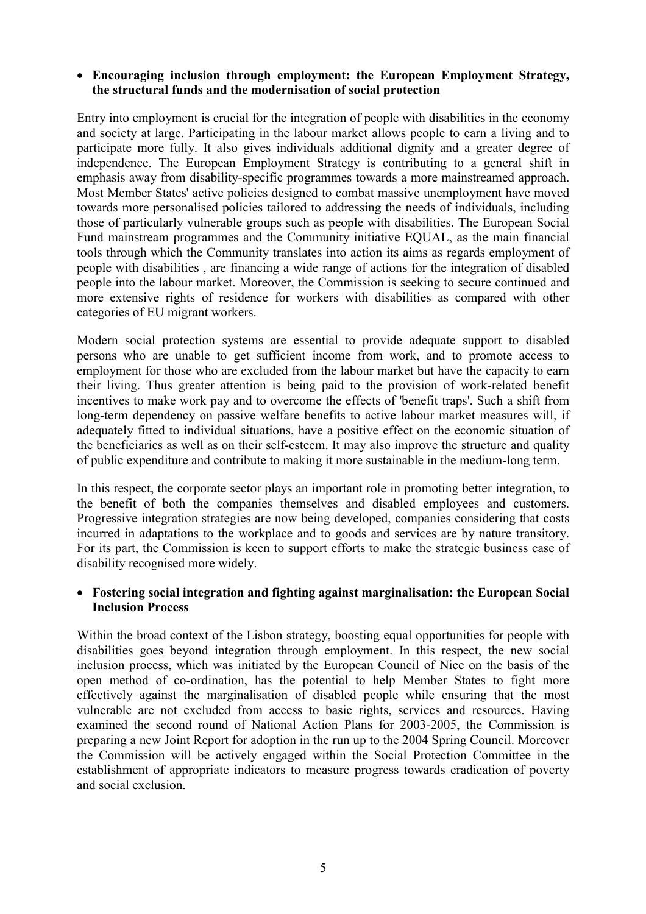#### **Encouraging inclusion through employment: the European Employment Strategy, the structural funds and the modernisation of social protection**

Entry into employment is crucial for the integration of people with disabilities in the economy and society at large. Participating in the labour market allows people to earn a living and to participate more fully. It also gives individuals additional dignity and a greater degree of independence. The European Employment Strategy is contributing to a general shift in emphasis away from disability-specific programmes towards a more mainstreamed approach. Most Member States' active policies designed to combat massive unemployment have moved towards more personalised policies tailored to addressing the needs of individuals, including those of particularly vulnerable groups such as people with disabilities. The European Social Fund mainstream programmes and the Community initiative EQUAL, as the main financial tools through which the Community translates into action its aims as regards employment of people with disabilities , are financing a wide range of actions for the integration of disabled people into the labour market. Moreover, the Commission is seeking to secure continued and more extensive rights of residence for workers with disabilities as compared with other categories of EU migrant workers.

Modern social protection systems are essential to provide adequate support to disabled persons who are unable to get sufficient income from work, and to promote access to employment for those who are excluded from the labour market but have the capacity to earn their living. Thus greater attention is being paid to the provision of work-related benefit incentives to make work pay and to overcome the effects of 'benefit traps'. Such a shift from long-term dependency on passive welfare benefits to active labour market measures will, if adequately fitted to individual situations, have a positive effect on the economic situation of the beneficiaries as well as on their self-esteem. It may also improve the structure and quality of public expenditure and contribute to making it more sustainable in the medium-long term.

In this respect, the corporate sector plays an important role in promoting better integration, to the benefit of both the companies themselves and disabled employees and customers. Progressive integration strategies are now being developed, companies considering that costs incurred in adaptations to the workplace and to goods and services are by nature transitory. For its part, the Commission is keen to support efforts to make the strategic business case of disability recognised more widely.

#### **Fostering social integration and fighting against marginalisation: the European Social Inclusion Process**

Within the broad context of the Lisbon strategy, boosting equal opportunities for people with disabilities goes beyond integration through employment. In this respect, the new social inclusion process, which was initiated by the European Council of Nice on the basis of the open method of co-ordination, has the potential to help Member States to fight more effectively against the marginalisation of disabled people while ensuring that the most vulnerable are not excluded from access to basic rights, services and resources. Having examined the second round of National Action Plans for 2003-2005, the Commission is preparing a new Joint Report for adoption in the run up to the 2004 Spring Council. Moreover the Commission will be actively engaged within the Social Protection Committee in the establishment of appropriate indicators to measure progress towards eradication of poverty and social exclusion.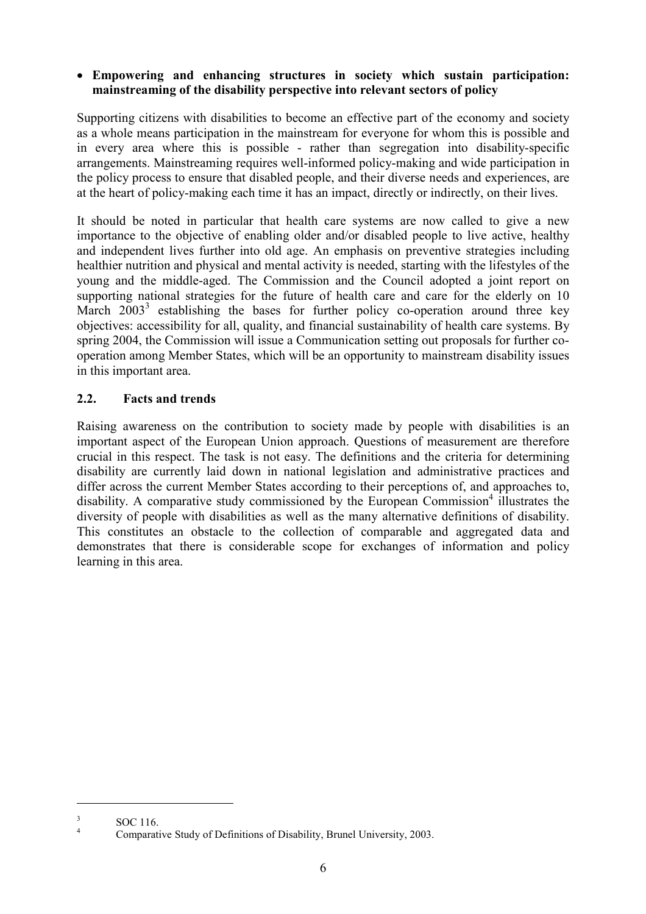### **Empowering and enhancing structures in society which sustain participation: mainstreaming of the disability perspective into relevant sectors of policy**

Supporting citizens with disabilities to become an effective part of the economy and society as a whole means participation in the mainstream for everyone for whom this is possible and in every area where this is possible - rather than segregation into disability-specific arrangements. Mainstreaming requires well-informed policy-making and wide participation in the policy process to ensure that disabled people, and their diverse needs and experiences, are at the heart of policy-making each time it has an impact, directly or indirectly, on their lives.

It should be noted in particular that health care systems are now called to give a new importance to the objective of enabling older and/or disabled people to live active, healthy and independent lives further into old age. An emphasis on preventive strategies including healthier nutrition and physical and mental activity is needed, starting with the lifestyles of the young and the middle-aged. The Commission and the Council adopted a joint report on supporting national strategies for the future of health care and care for the elderly on 10 March  $2003<sup>3</sup>$  establishing the bases for further policy co-operation around three key objectives: accessibility for all, quality, and financial sustainability of health care systems. By spring 2004, the Commission will issue a Communication setting out proposals for further cooperation among Member States, which will be an opportunity to mainstream disability issues in this important area.

# **2.2. Facts and trends**

Raising awareness on the contribution to society made by people with disabilities is an important aspect of the European Union approach. Questions of measurement are therefore crucial in this respect. The task is not easy. The definitions and the criteria for determining disability are currently laid down in national legislation and administrative practices and differ across the current Member States according to their perceptions of, and approaches to, disability. A comparative study commissioned by the European Commission<sup>4</sup> illustrates the diversity of people with disabilities as well as the many alternative definitions of disability. This constitutes an obstacle to the collection of comparable and aggregated data and demonstrates that there is considerable scope for exchanges of information and policy learning in this area.

<sup>&</sup>lt;sup>3</sup> SOC 116.<br><sup>4</sup> Comparative Study of Definitions of Disability, Brunel University, 2003.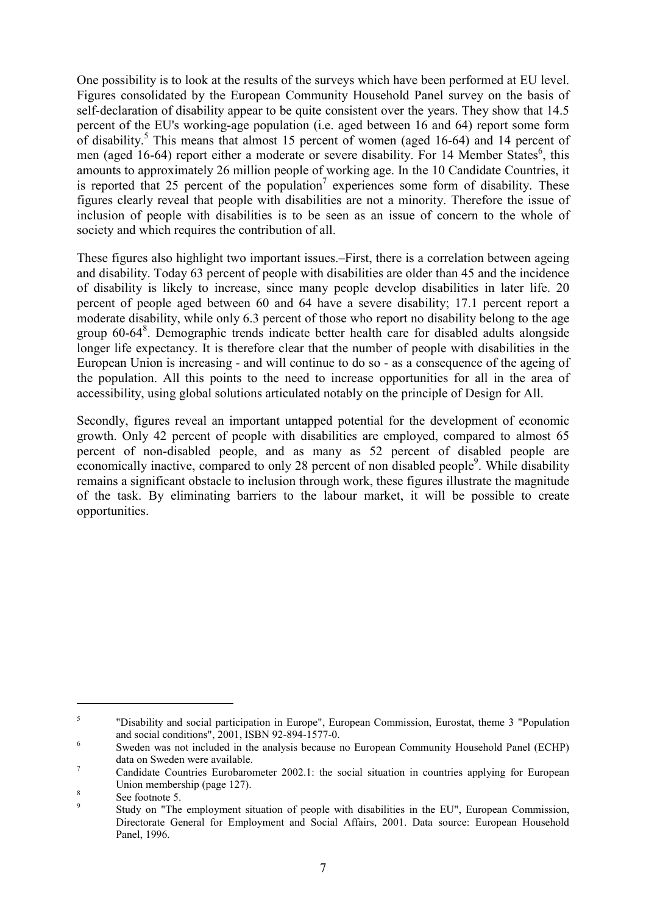One possibility is to look at the results of the surveys which have been performed at EU level. Figures consolidated by the European Community Household Panel survey on the basis of self-declaration of disability appear to be quite consistent over the years. They show that 14.5 percent of the EU's working-age population (i.e. aged between 16 and 64) report some form of disability.<sup>5</sup> This means that almost 15 percent of women (aged 16-64) and 14 percent of men (aged 16-64) report either a moderate or severe disability. For 14 Member States<sup>6</sup>, this amounts to approximately 26 million people of working age. In the 10 Candidate Countries, it is reported that 25 percent of the population<sup>7</sup> experiences some form of disability. These figures clearly reveal that people with disabilities are not a minority. Therefore the issue of inclusion of people with disabilities is to be seen as an issue of concern to the whole of society and which requires the contribution of all.

These figures also highlight two important issues.–First, there is a correlation between ageing and disability. Today 63 percent of people with disabilities are older than 45 and the incidence of disability is likely to increase, since many people develop disabilities in later life. 20 percent of people aged between 60 and 64 have a severe disability; 17.1 percent report a moderate disability, while only 6.3 percent of those who report no disability belong to the age group 60-64<sup>8</sup>. Demographic trends indicate better health care for disabled adults alongside longer life expectancy. It is therefore clear that the number of people with disabilities in the European Union is increasing - and will continue to do so - as a consequence of the ageing of the population. All this points to the need to increase opportunities for all in the area of accessibility, using global solutions articulated notably on the principle of Design for All.

Secondly, figures reveal an important untapped potential for the development of economic growth. Only 42 percent of people with disabilities are employed, compared to almost 65 percent of non-disabled people, and as many as 52 percent of disabled people are economically inactive, compared to only 28 percent of non disabled people<sup>9</sup>. While disability remains a significant obstacle to inclusion through work, these figures illustrate the magnitude of the task. By eliminating barriers to the labour market, it will be possible to create opportunities.

<sup>5</sup> "Disability and social participation in Europe", European Commission, Eurostat, theme 3 "Population and social conditions", 2001, ISBN 92-894-1577-0.<br>
Sweden was not included in the analysis because no European Community Household Panel (ECHP)

data on Sweden were available.<br><sup>7</sup> Candidate Countries Eurobarometer 2002.1: the social situation in countries applying for European

Union membership (page 127).<br>
<sup>8</sup> See footnote 5.<br>
Study on "The employment situation of people with disabilities in the EU", European Commission,

Directorate General for Employment and Social Affairs, 2001. Data source: European Household Panel, 1996.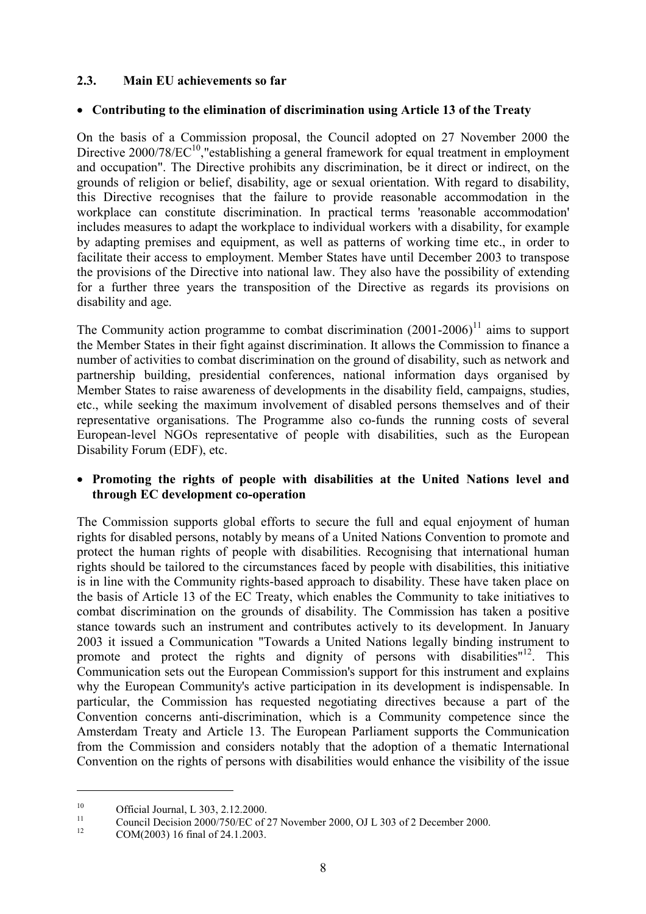### **2.3. Main EU achievements so far**

#### **Contributing to the elimination of discrimination using Article 13 of the Treaty**

On the basis of a Commission proposal, the Council adopted on 27 November 2000 the Directive  $2000/78/EC^{10}$ , "establishing a general framework for equal treatment in employment and occupation". The Directive prohibits any discrimination, be it direct or indirect, on the grounds of religion or belief, disability, age or sexual orientation. With regard to disability, this Directive recognises that the failure to provide reasonable accommodation in the workplace can constitute discrimination. In practical terms 'reasonable accommodation' includes measures to adapt the workplace to individual workers with a disability, for example by adapting premises and equipment, as well as patterns of working time etc., in order to facilitate their access to employment. Member States have until December 2003 to transpose the provisions of the Directive into national law. They also have the possibility of extending for a further three years the transposition of the Directive as regards its provisions on disability and age.

The Community action programme to combat discrimination  $(2001-2006)^{11}$  aims to support the Member States in their fight against discrimination. It allows the Commission to finance a number of activities to combat discrimination on the ground of disability, such as network and partnership building, presidential conferences, national information days organised by Member States to raise awareness of developments in the disability field, campaigns, studies, etc., while seeking the maximum involvement of disabled persons themselves and of their representative organisations. The Programme also co-funds the running costs of several European-level NGOs representative of people with disabilities, such as the European Disability Forum (EDF), etc.

#### **Promoting the rights of people with disabilities at the United Nations level and through EC development co-operation**

The Commission supports global efforts to secure the full and equal enjoyment of human rights for disabled persons, notably by means of a United Nations Convention to promote and protect the human rights of people with disabilities. Recognising that international human rights should be tailored to the circumstances faced by people with disabilities, this initiative is in line with the Community rights-based approach to disability. These have taken place on the basis of Article 13 of the EC Treaty, which enables the Community to take initiatives to combat discrimination on the grounds of disability. The Commission has taken a positive stance towards such an instrument and contributes actively to its development. In January 2003 it issued a Communication "Towards a United Nations legally binding instrument to promote and protect the rights and dignity of persons with disabilities"<sup>12</sup>. This Communication sets out the European Commission's support for this instrument and explains why the European Community's active participation in its development is indispensable. In particular, the Commission has requested negotiating directives because a part of the Convention concerns anti-discrimination, which is a Community competence since the Amsterdam Treaty and Article 13. The European Parliament supports the Communication from the Commission and considers notably that the adoption of a thematic International Convention on the rights of persons with disabilities would enhance the visibility of the issue

<sup>10</sup> Official Journal, L 303, 2.12.2000.<br>
Council Decision 2000/750/EC of 27 November 2000, OJ L 303 of 2 December 2000.<br>
COM(2003) 16 final of 24.1.2003.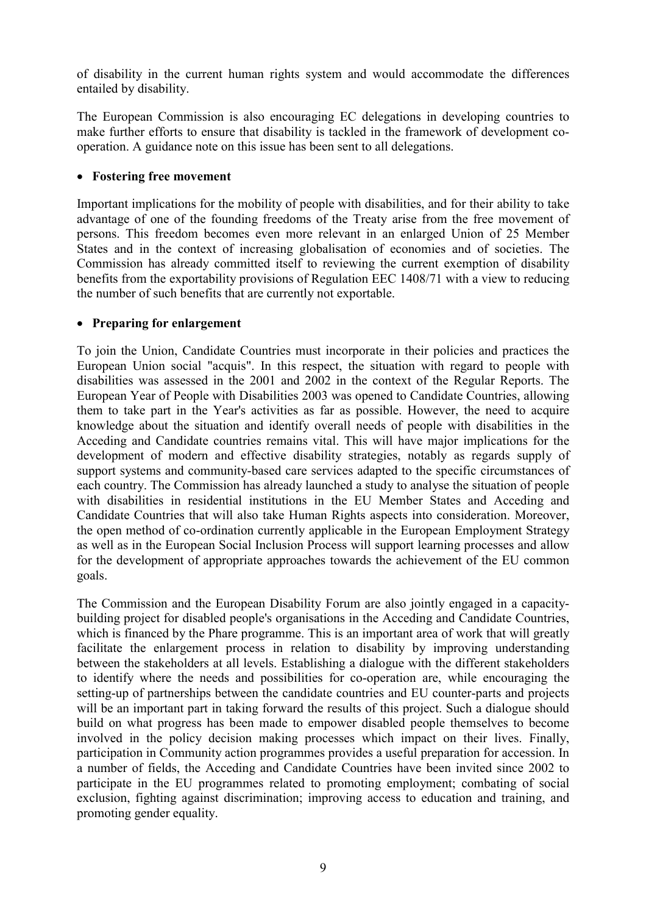of disability in the current human rights system and would accommodate the differences entailed by disability.

The European Commission is also encouraging EC delegations in developing countries to make further efforts to ensure that disability is tackled in the framework of development cooperation. A guidance note on this issue has been sent to all delegations.

### **Fostering free movement**

Important implications for the mobility of people with disabilities, and for their ability to take advantage of one of the founding freedoms of the Treaty arise from the free movement of persons. This freedom becomes even more relevant in an enlarged Union of 25 Member States and in the context of increasing globalisation of economies and of societies. The Commission has already committed itself to reviewing the current exemption of disability benefits from the exportability provisions of Regulation EEC 1408/71 with a view to reducing the number of such benefits that are currently not exportable.

### **Preparing for enlargement**

To join the Union, Candidate Countries must incorporate in their policies and practices the European Union social "acquis". In this respect, the situation with regard to people with disabilities was assessed in the 2001 and 2002 in the context of the Regular Reports. The European Year of People with Disabilities 2003 was opened to Candidate Countries, allowing them to take part in the Year's activities as far as possible. However, the need to acquire knowledge about the situation and identify overall needs of people with disabilities in the Acceding and Candidate countries remains vital. This will have major implications for the development of modern and effective disability strategies, notably as regards supply of support systems and community-based care services adapted to the specific circumstances of each country. The Commission has already launched a study to analyse the situation of people with disabilities in residential institutions in the EU Member States and Acceding and Candidate Countries that will also take Human Rights aspects into consideration. Moreover, the open method of co-ordination currently applicable in the European Employment Strategy as well as in the European Social Inclusion Process will support learning processes and allow for the development of appropriate approaches towards the achievement of the EU common goals.

The Commission and the European Disability Forum are also jointly engaged in a capacitybuilding project for disabled people's organisations in the Acceding and Candidate Countries, which is financed by the Phare programme. This is an important area of work that will greatly facilitate the enlargement process in relation to disability by improving understanding between the stakeholders at all levels. Establishing a dialogue with the different stakeholders to identify where the needs and possibilities for co-operation are, while encouraging the setting-up of partnerships between the candidate countries and EU counter-parts and projects will be an important part in taking forward the results of this project. Such a dialogue should build on what progress has been made to empower disabled people themselves to become involved in the policy decision making processes which impact on their lives. Finally, participation in Community action programmes provides a useful preparation for accession. In a number of fields, the Acceding and Candidate Countries have been invited since 2002 to participate in the EU programmes related to promoting employment; combating of social exclusion, fighting against discrimination; improving access to education and training, and promoting gender equality.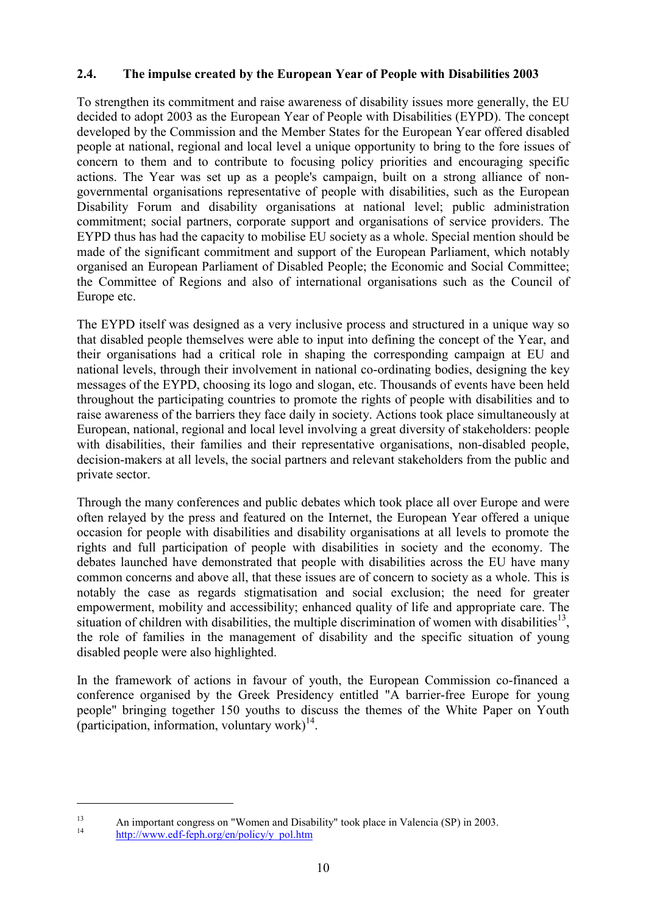### **2.4. The impulse created by the European Year of People with Disabilities 2003**

To strengthen its commitment and raise awareness of disability issues more generally, the EU decided to adopt 2003 as the European Year of People with Disabilities (EYPD). The concept developed by the Commission and the Member States for the European Year offered disabled people at national, regional and local level a unique opportunity to bring to the fore issues of concern to them and to contribute to focusing policy priorities and encouraging specific actions. The Year was set up as a people's campaign, built on a strong alliance of nongovernmental organisations representative of people with disabilities, such as the European Disability Forum and disability organisations at national level; public administration commitment; social partners, corporate support and organisations of service providers. The EYPD thus has had the capacity to mobilise EU society as a whole. Special mention should be made of the significant commitment and support of the European Parliament, which notably organised an European Parliament of Disabled People; the Economic and Social Committee; the Committee of Regions and also of international organisations such as the Council of Europe etc.

The EYPD itself was designed as a very inclusive process and structured in a unique way so that disabled people themselves were able to input into defining the concept of the Year, and their organisations had a critical role in shaping the corresponding campaign at EU and national levels, through their involvement in national co-ordinating bodies, designing the key messages of the EYPD, choosing its logo and slogan, etc. Thousands of events have been held throughout the participating countries to promote the rights of people with disabilities and to raise awareness of the barriers they face daily in society. Actions took place simultaneously at European, national, regional and local level involving a great diversity of stakeholders: people with disabilities, their families and their representative organisations, non-disabled people, decision-makers at all levels, the social partners and relevant stakeholders from the public and private sector.

Through the many conferences and public debates which took place all over Europe and were often relayed by the press and featured on the Internet, the European Year offered a unique occasion for people with disabilities and disability organisations at all levels to promote the rights and full participation of people with disabilities in society and the economy. The debates launched have demonstrated that people with disabilities across the EU have many common concerns and above all, that these issues are of concern to society as a whole. This is notably the case as regards stigmatisation and social exclusion; the need for greater empowerment, mobility and accessibility; enhanced quality of life and appropriate care. The situation of children with disabilities, the multiple discrimination of women with disabilities<sup>13</sup>, the role of families in the management of disability and the specific situation of young disabled people were also highlighted.

In the framework of actions in favour of youth, the European Commission co-financed a conference organised by the Greek Presidency entitled "A barrier-free Europe for young people" bringing together 150 youths to discuss the themes of the White Paper on Youth (participation, information, voluntary work) $^{14}$ .

<sup>&</sup>lt;sup>13</sup> An important congress on "Women and Disability" took place in Valencia (SP) in 2003.<br>
http://www.edf-feph.org/en/policy/y\_pol.htm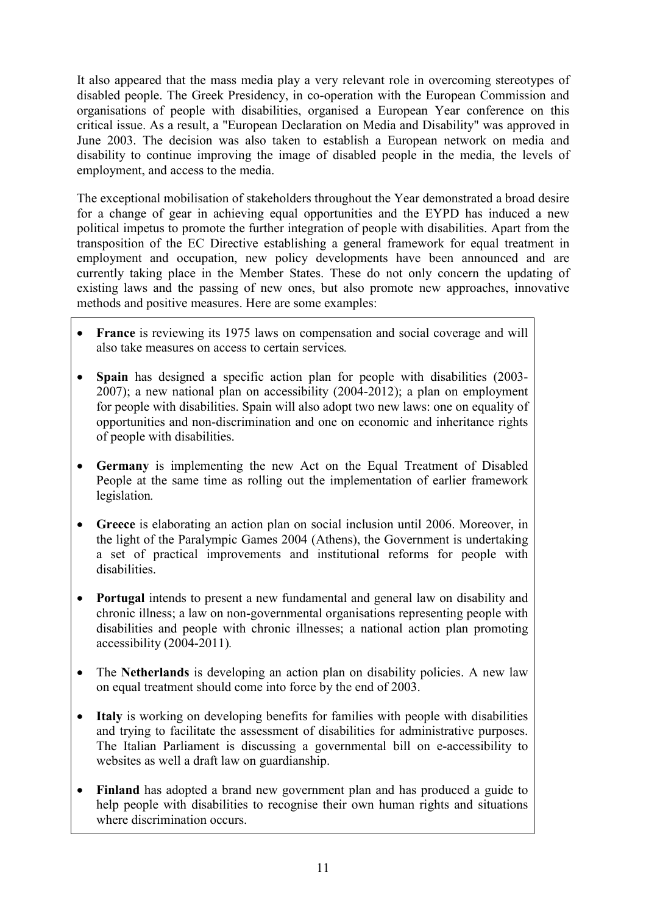It also appeared that the mass media play a very relevant role in overcoming stereotypes of disabled people. The Greek Presidency, in co-operation with the European Commission and organisations of people with disabilities, organised a European Year conference on this critical issue. As a result, a "European Declaration on Media and Disability" was approved in June 2003. The decision was also taken to establish a European network on media and disability to continue improving the image of disabled people in the media, the levels of employment, and access to the media.

The exceptional mobilisation of stakeholders throughout the Year demonstrated a broad desire for a change of gear in achieving equal opportunities and the EYPD has induced a new political impetus to promote the further integration of people with disabilities. Apart from the transposition of the EC Directive establishing a general framework for equal treatment in employment and occupation, new policy developments have been announced and are currently taking place in the Member States. These do not only concern the updating of existing laws and the passing of new ones, but also promote new approaches, innovative methods and positive measures. Here are some examples:

- **France** is reviewing its 1975 laws on compensation and social coverage and will also take measures on access to certain services*.*
- **Spain** has designed a specific action plan for people with disabilities (2003-2007); a new national plan on accessibility (2004-2012); a plan on employment for people with disabilities. Spain will also adopt two new laws: one on equality of opportunities and non-discrimination and one on economic and inheritance rights of people with disabilities.
- **Germany** is implementing the new Act on the Equal Treatment of Disabled People at the same time as rolling out the implementation of earlier framework legislation*.*
- **Greece** is elaborating an action plan on social inclusion until 2006. Moreover, in the light of the Paralympic Games 2004 (Athens), the Government is undertaking a set of practical improvements and institutional reforms for people with disabilities.
- **Portugal** intends to present a new fundamental and general law on disability and chronic illness; a law on non-governmental organisations representing people with disabilities and people with chronic illnesses; a national action plan promoting accessibility (2004-2011)*.*
- The **Netherlands** is developing an action plan on disability policies. A new law on equal treatment should come into force by the end of 2003.
- **Italy** is working on developing benefits for families with people with disabilities and trying to facilitate the assessment of disabilities for administrative purposes. The Italian Parliament is discussing a governmental bill on e-accessibility to websites as well a draft law on guardianship.
- **Finland** has adopted a brand new government plan and has produced a guide to help people with disabilities to recognise their own human rights and situations where discrimination occurs.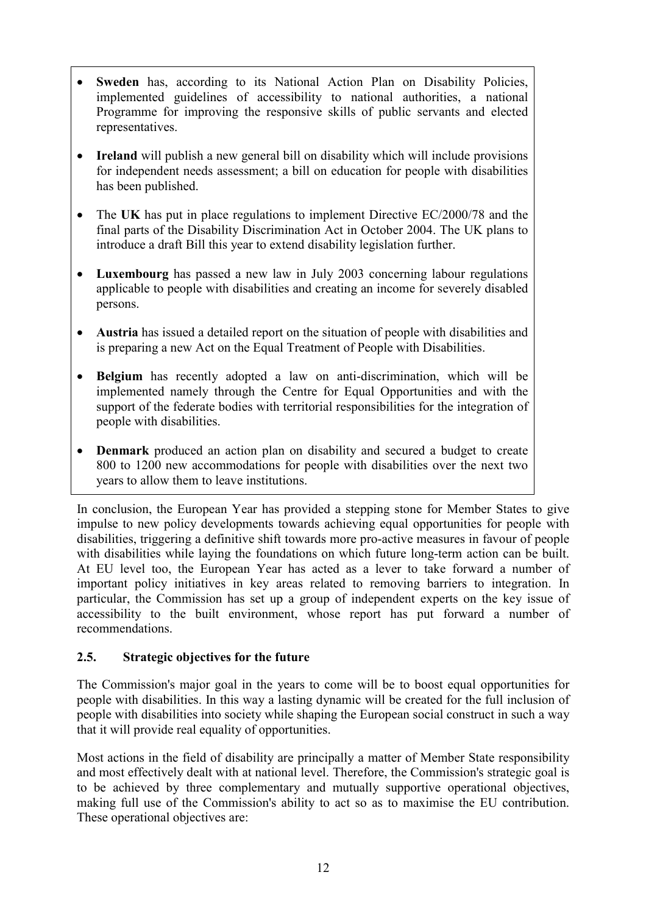- **Sweden** has, according to its National Action Plan on Disability Policies, implemented guidelines of accessibility to national authorities, a national Programme for improving the responsive skills of public servants and elected representatives.
- **Ireland** will publish a new general bill on disability which will include provisions for independent needs assessment; a bill on education for people with disabilities has been published.
- The UK has put in place regulations to implement Directive EC/2000/78 and the final parts of the Disability Discrimination Act in October 2004. The UK plans to introduce a draft Bill this year to extend disability legislation further.
- **Luxembourg** has passed a new law in July 2003 concerning labour regulations applicable to people with disabilities and creating an income for severely disabled persons.
- **Austria** has issued a detailed report on the situation of people with disabilities and is preparing a new Act on the Equal Treatment of People with Disabilities.
- **Belgium** has recently adopted a law on anti-discrimination, which will be implemented namely through the Centre for Equal Opportunities and with the support of the federate bodies with territorial responsibilities for the integration of people with disabilities.
- **Denmark** produced an action plan on disability and secured a budget to create 800 to 1200 new accommodations for people with disabilities over the next two years to allow them to leave institutions.

In conclusion, the European Year has provided a stepping stone for Member States to give impulse to new policy developments towards achieving equal opportunities for people with disabilities, triggering a definitive shift towards more pro-active measures in favour of people with disabilities while laying the foundations on which future long-term action can be built. At EU level too, the European Year has acted as a lever to take forward a number of important policy initiatives in key areas related to removing barriers to integration. In particular, the Commission has set up a group of independent experts on the key issue of accessibility to the built environment, whose report has put forward a number of recommendations.

### **2.5. Strategic objectives for the future**

The Commission's major goal in the years to come will be to boost equal opportunities for people with disabilities. In this way a lasting dynamic will be created for the full inclusion of people with disabilities into society while shaping the European social construct in such a way that it will provide real equality of opportunities.

Most actions in the field of disability are principally a matter of Member State responsibility and most effectively dealt with at national level. Therefore, the Commission's strategic goal is to be achieved by three complementary and mutually supportive operational objectives, making full use of the Commission's ability to act so as to maximise the EU contribution. These operational objectives are: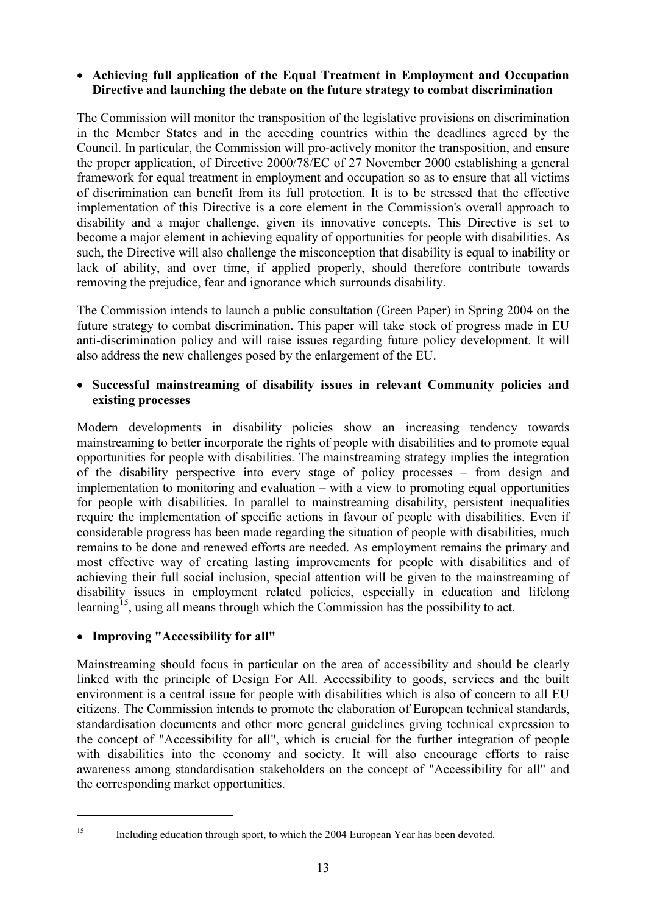### **Achieving full application of the Equal Treatment in Employment and Occupation Directive and launching the debate on the future strategy to combat discrimination**

The Commission will monitor the transposition of the legislative provisions on discrimination in the Member States and in the acceding countries within the deadlines agreed by the Council. In particular, the Commission will pro-actively monitor the transposition, and ensure the proper application, of Directive 2000/78/EC of 27 November 2000 establishing a general framework for equal treatment in employment and occupation so as to ensure that all victims of discrimination can benefit from its full protection. It is to be stressed that the effective implementation of this Directive is a core element in the Commission's overall approach to disability and a major challenge, given its innovative concepts. This Directive is set to become a major element in achieving equality of opportunities for people with disabilities. As such, the Directive will also challenge the misconception that disability is equal to inability or lack of ability, and over time, if applied properly, should therefore contribute towards removing the prejudice, fear and ignorance which surrounds disability.

The Commission intends to launch a public consultation (Green Paper) in Spring 2004 on the future strategy to combat discrimination. This paper will take stock of progress made in EU anti-discrimination policy and will raise issues regarding future policy development. It will also address the new challenges posed by the enlargement of the EU.

### **Successful mainstreaming of disability issues in relevant Community policies and existing processes**

Modern developments in disability policies show an increasing tendency towards mainstreaming to better incorporate the rights of people with disabilities and to promote equal opportunities for people with disabilities. The mainstreaming strategy implies the integration of the disability perspective into every stage of policy processes – from design and implementation to monitoring and evaluation – with a view to promoting equal opportunities for people with disabilities. In parallel to mainstreaming disability, persistent inequalities require the implementation of specific actions in favour of people with disabilities. Even if considerable progress has been made regarding the situation of people with disabilities, much remains to be done and renewed efforts are needed. As employment remains the primary and most effective way of creating lasting improvements for people with disabilities and of achieving their full social inclusion, special attention will be given to the mainstreaming of disability issues in employment related policies, especially in education and lifelong learning<sup>15</sup>, using all means through which the Commission has the possibility to act.

### **Improving "Accessibility for all"**

Mainstreaming should focus in particular on the area of accessibility and should be clearly linked with the principle of Design For All. Accessibility to goods, services and the built environment is a central issue for people with disabilities which is also of concern to all EU citizens. The Commission intends to promote the elaboration of European technical standards, standardisation documents and other more general guidelines giving technical expression to the concept of "Accessibility for all", which is crucial for the further integration of people with disabilities into the economy and society. It will also encourage efforts to raise awareness among standardisation stakeholders on the concept of "Accessibility for all" and the corresponding market opportunities.

<sup>&</sup>lt;sup>15</sup> Including education through sport, to which the 2004 European Year has been devoted.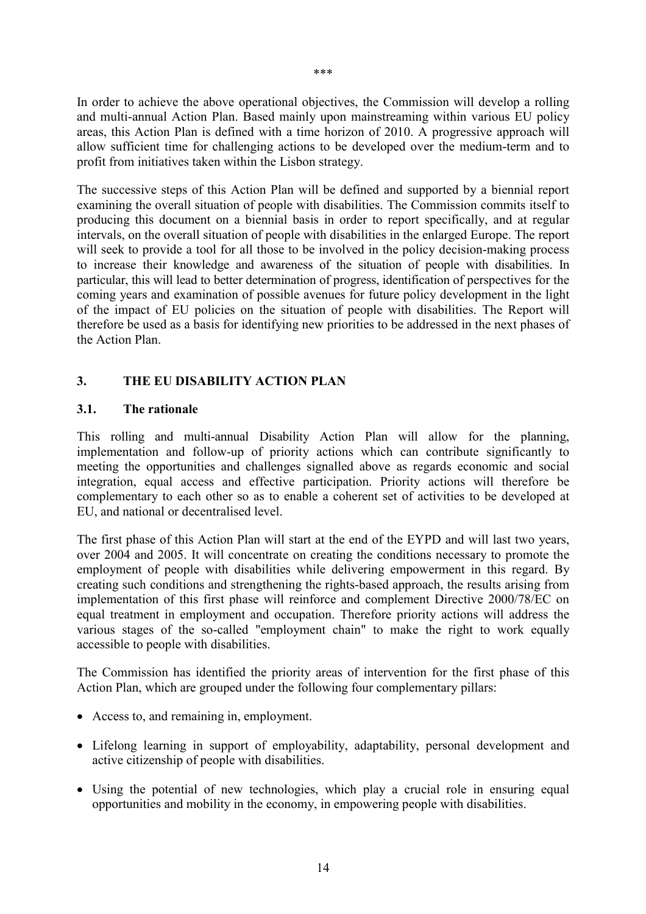In order to achieve the above operational objectives, the Commission will develop a rolling and multi-annual Action Plan. Based mainly upon mainstreaming within various EU policy areas, this Action Plan is defined with a time horizon of 2010. A progressive approach will allow sufficient time for challenging actions to be developed over the medium-term and to profit from initiatives taken within the Lisbon strategy.

The successive steps of this Action Plan will be defined and supported by a biennial report examining the overall situation of people with disabilities. The Commission commits itself to producing this document on a biennial basis in order to report specifically, and at regular intervals, on the overall situation of people with disabilities in the enlarged Europe. The report will seek to provide a tool for all those to be involved in the policy decision-making process to increase their knowledge and awareness of the situation of people with disabilities. In particular, this will lead to better determination of progress, identification of perspectives for the coming years and examination of possible avenues for future policy development in the light of the impact of EU policies on the situation of people with disabilities. The Report will therefore be used as a basis for identifying new priorities to be addressed in the next phases of the Action Plan.

### **3. THE EU DISABILITY ACTION PLAN**

#### **3.1. The rationale**

This rolling and multi-annual Disability Action Plan will allow for the planning, implementation and follow-up of priority actions which can contribute significantly to meeting the opportunities and challenges signalled above as regards economic and social integration, equal access and effective participation. Priority actions will therefore be complementary to each other so as to enable a coherent set of activities to be developed at EU, and national or decentralised level.

The first phase of this Action Plan will start at the end of the EYPD and will last two years, over 2004 and 2005. It will concentrate on creating the conditions necessary to promote the employment of people with disabilities while delivering empowerment in this regard. By creating such conditions and strengthening the rights-based approach, the results arising from implementation of this first phase will reinforce and complement Directive 2000/78/EC on equal treatment in employment and occupation. Therefore priority actions will address the various stages of the so-called "employment chain" to make the right to work equally accessible to people with disabilities.

The Commission has identified the priority areas of intervention for the first phase of this Action Plan, which are grouped under the following four complementary pillars:

- Access to, and remaining in, employment.
- Lifelong learning in support of employability, adaptability, personal development and active citizenship of people with disabilities.
- Using the potential of new technologies, which play a crucial role in ensuring equal opportunities and mobility in the economy, in empowering people with disabilities.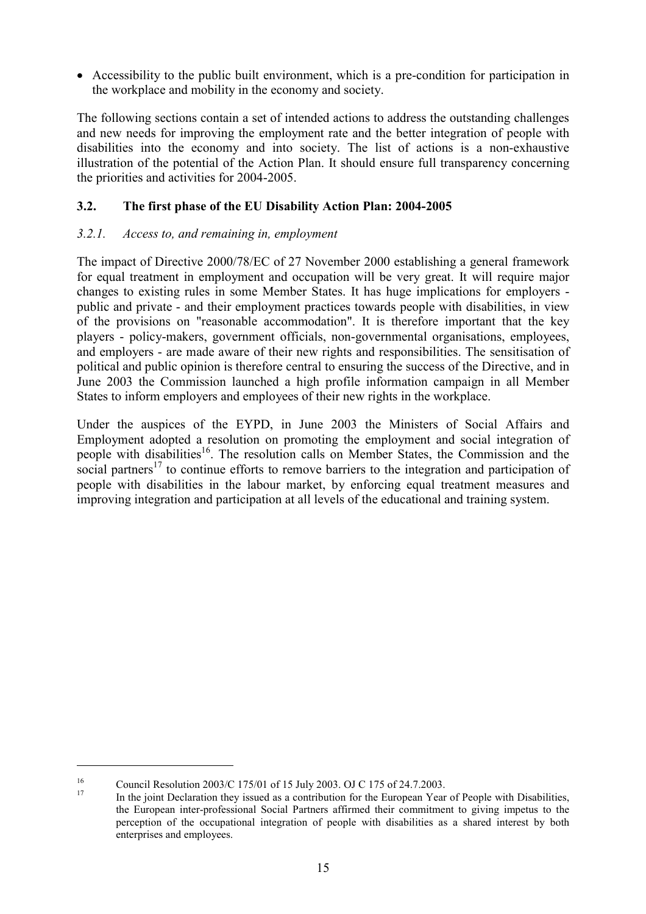Accessibility to the public built environment, which is a pre-condition for participation in the workplace and mobility in the economy and society.

The following sections contain a set of intended actions to address the outstanding challenges and new needs for improving the employment rate and the better integration of people with disabilities into the economy and into society. The list of actions is a non-exhaustive illustration of the potential of the Action Plan. It should ensure full transparency concerning the priorities and activities for 2004-2005.

### **3.2. The first phase of the EU Disability Action Plan: 2004-2005**

### *3.2.1. Access to, and remaining in, employment*

The impact of Directive 2000/78/EC of 27 November 2000 establishing a general framework for equal treatment in employment and occupation will be very great. It will require major changes to existing rules in some Member States. It has huge implications for employers public and private - and their employment practices towards people with disabilities, in view of the provisions on "reasonable accommodation". It is therefore important that the key players - policy-makers, government officials, non-governmental organisations, employees, and employers - are made aware of their new rights and responsibilities. The sensitisation of political and public opinion is therefore central to ensuring the success of the Directive, and in June 2003 the Commission launched a high profile information campaign in all Member States to inform employers and employees of their new rights in the workplace.

Under the auspices of the EYPD, in June 2003 the Ministers of Social Affairs and Employment adopted a resolution on promoting the employment and social integration of people with disabilities<sup>16</sup>. The resolution calls on Member States, the Commission and the social partners<sup>17</sup> to continue efforts to remove barriers to the integration and participation of people with disabilities in the labour market, by enforcing equal treatment measures and improving integration and participation at all levels of the educational and training system.

<sup>&</sup>lt;sup>16</sup> Council Resolution 2003/C 175/01 of 15 July 2003. OJ C 175 of 24.7.2003.<br><sup>17</sup> In the joint Declaration they issued as a contribution for the European Year of People with Disabilities, the European inter-professional Social Partners affirmed their commitment to giving impetus to the perception of the occupational integration of people with disabilities as a shared interest by both enterprises and employees.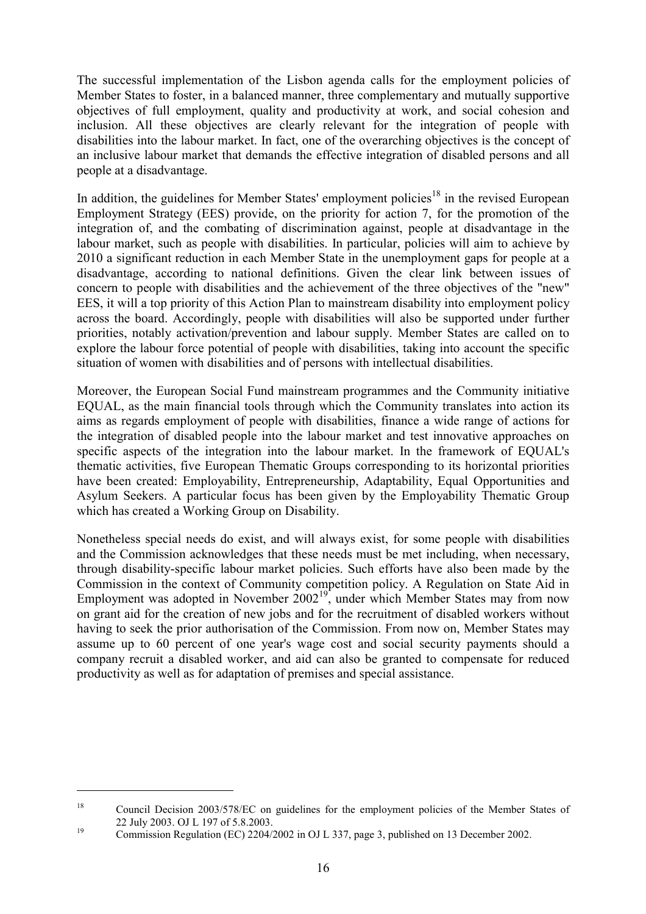The successful implementation of the Lisbon agenda calls for the employment policies of Member States to foster, in a balanced manner, three complementary and mutually supportive objectives of full employment, quality and productivity at work, and social cohesion and inclusion. All these objectives are clearly relevant for the integration of people with disabilities into the labour market. In fact, one of the overarching objectives is the concept of an inclusive labour market that demands the effective integration of disabled persons and all people at a disadvantage.

In addition, the guidelines for Member States' employment policies<sup>18</sup> in the revised European Employment Strategy (EES) provide, on the priority for action 7, for the promotion of the integration of, and the combating of discrimination against, people at disadvantage in the labour market, such as people with disabilities. In particular, policies will aim to achieve by 2010 a significant reduction in each Member State in the unemployment gaps for people at a disadvantage, according to national definitions. Given the clear link between issues of concern to people with disabilities and the achievement of the three objectives of the "new" EES, it will a top priority of this Action Plan to mainstream disability into employment policy across the board. Accordingly, people with disabilities will also be supported under further priorities, notably activation/prevention and labour supply. Member States are called on to explore the labour force potential of people with disabilities, taking into account the specific situation of women with disabilities and of persons with intellectual disabilities.

Moreover, the European Social Fund mainstream programmes and the Community initiative EQUAL, as the main financial tools through which the Community translates into action its aims as regards employment of people with disabilities, finance a wide range of actions for the integration of disabled people into the labour market and test innovative approaches on specific aspects of the integration into the labour market. In the framework of EQUAL's thematic activities, five European Thematic Groups corresponding to its horizontal priorities have been created: Employability, Entrepreneurship, Adaptability, Equal Opportunities and Asylum Seekers. A particular focus has been given by the Employability Thematic Group which has created a Working Group on Disability.

Nonetheless special needs do exist, and will always exist, for some people with disabilities and the Commission acknowledges that these needs must be met including, when necessary, through disability-specific labour market policies. Such efforts have also been made by the Commission in the context of Community competition policy. A Regulation on State Aid in Employment was adopted in November  $2002^{19}$ , under which Member States may from now on grant aid for the creation of new jobs and for the recruitment of disabled workers without having to seek the prior authorisation of the Commission. From now on, Member States may assume up to 60 percent of one year's wage cost and social security payments should a company recruit a disabled worker, and aid can also be granted to compensate for reduced productivity as well as for adaptation of premises and special assistance.

<sup>&</sup>lt;sup>18</sup> Council Decision 2003/578/EC on guidelines for the employment policies of the Member States of 22 July 2003. OJ L 197 of 5.8.2003.<br>Commission Regulation (EC) 2204/2002 in OJ L 337, page 3, published on 13 December 2002.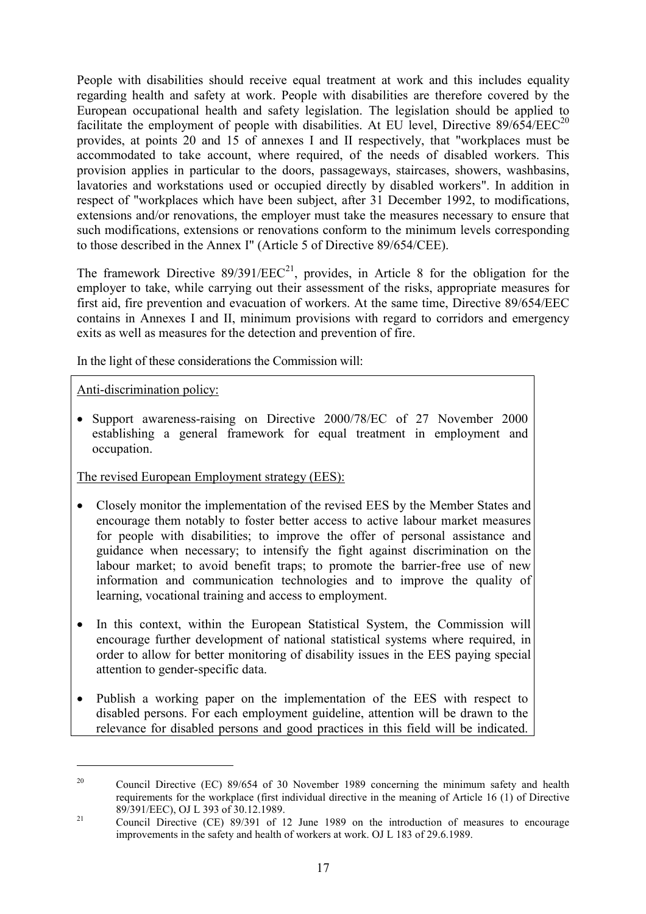People with disabilities should receive equal treatment at work and this includes equality regarding health and safety at work. People with disabilities are therefore covered by the European occupational health and safety legislation. The legislation should be applied to facilitate the employment of people with disabilities. At EU level, Directive  $89/654/EEC^{20}$ provides, at points 20 and 15 of annexes I and II respectively, that "workplaces must be accommodated to take account, where required, of the needs of disabled workers. This provision applies in particular to the doors, passageways, staircases, showers, washbasins, lavatories and workstations used or occupied directly by disabled workers". In addition in respect of "workplaces which have been subject, after 31 December 1992, to modifications, extensions and/or renovations, the employer must take the measures necessary to ensure that such modifications, extensions or renovations conform to the minimum levels corresponding to those described in the Annex I" (Article 5 of Directive 89/654/CEE).

The framework Directive  $89/391/EEC^{21}$ , provides, in Article 8 for the obligation for the employer to take, while carrying out their assessment of the risks, appropriate measures for first aid, fire prevention and evacuation of workers. At the same time, Directive 89/654/EEC contains in Annexes I and II, minimum provisions with regard to corridors and emergency exits as well as measures for the detection and prevention of fire.

In the light of these considerations the Commission will:

Anti-discrimination policy:

 $\overline{a}$ 

 Support awareness-raising on Directive 2000/78/EC of 27 November 2000 establishing a general framework for equal treatment in employment and occupation.

The revised European Employment strategy (EES):

- Closely monitor the implementation of the revised EES by the Member States and encourage them notably to foster better access to active labour market measures for people with disabilities; to improve the offer of personal assistance and guidance when necessary; to intensify the fight against discrimination on the labour market; to avoid benefit traps; to promote the barrier-free use of new information and communication technologies and to improve the quality of learning, vocational training and access to employment.
- In this context, within the European Statistical System, the Commission will encourage further development of national statistical systems where required, in order to allow for better monitoring of disability issues in the EES paying special attention to gender-specific data.
- Publish a working paper on the implementation of the EES with respect to disabled persons. For each employment guideline, attention will be drawn to the relevance for disabled persons and good practices in this field will be indicated.

<sup>&</sup>lt;sup>20</sup> Council Directive (EC) 89/654 of 30 November 1989 concerning the minimum safety and health requirements for the workplace (first individual directive in the meaning of Article 16 (1) of Directive

<sup>89/391/</sup>EEC), OJ L 393 of 30.12.1989.<br><sup>21</sup> Council Directive (CE) 89/391 of 12 June 1989 on the introduction of measures to encourage improvements in the safety and health of workers at work. OJ L 183 of 29.6.1989.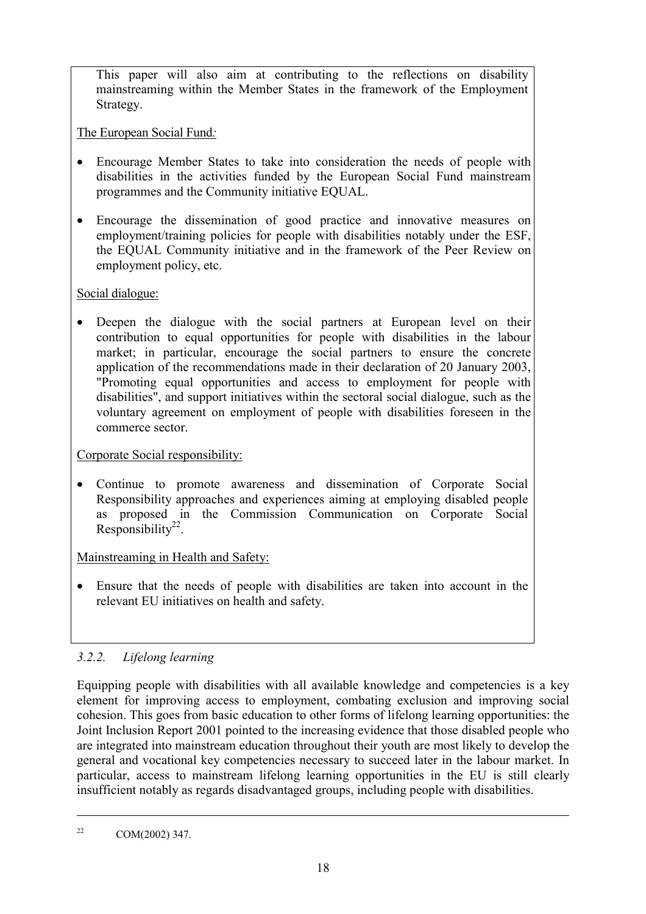This paper will also aim at contributing to the reflections on disability mainstreaming within the Member States in the framework of the Employment Strategy.

The European Social Fund*:*

- Encourage Member States to take into consideration the needs of people with disabilities in the activities funded by the European Social Fund mainstream programmes and the Community initiative EQUAL.
- Encourage the dissemination of good practice and innovative measures on employment/training policies for people with disabilities notably under the ESF, the EQUAL Community initiative and in the framework of the Peer Review on employment policy, etc.

# Social dialogue:

 Deepen the dialogue with the social partners at European level on their contribution to equal opportunities for people with disabilities in the labour market; in particular, encourage the social partners to ensure the concrete application of the recommendations made in their declaration of 20 January 2003, "Promoting equal opportunities and access to employment for people with disabilities", and support initiatives within the sectoral social dialogue, such as the voluntary agreement on employment of people with disabilities foreseen in the commerce sector.

# Corporate Social responsibility:

 Continue to promote awareness and dissemination of Corporate Social Responsibility approaches and experiences aiming at employing disabled people as proposed in the Commission Communication on Corporate Social Responsibility<sup>22</sup>.

# Mainstreaming in Health and Safety:

 Ensure that the needs of people with disabilities are taken into account in the relevant EU initiatives on health and safety.

# *3.2.2. Lifelong learning*

Equipping people with disabilities with all available knowledge and competencies is a key element for improving access to employment, combating exclusion and improving social cohesion. This goes from basic education to other forms of lifelong learning opportunities: the Joint Inclusion Report 2001 pointed to the increasing evidence that those disabled people who are integrated into mainstream education throughout their youth are most likely to develop the general and vocational key competencies necessary to succeed later in the labour market. In particular, access to mainstream lifelong learning opportunities in the EU is still clearly insufficient notably as regards disadvantaged groups, including people with disabilities.

<u>.</u>

<sup>&</sup>lt;sup>22</sup> COM(2002) 347.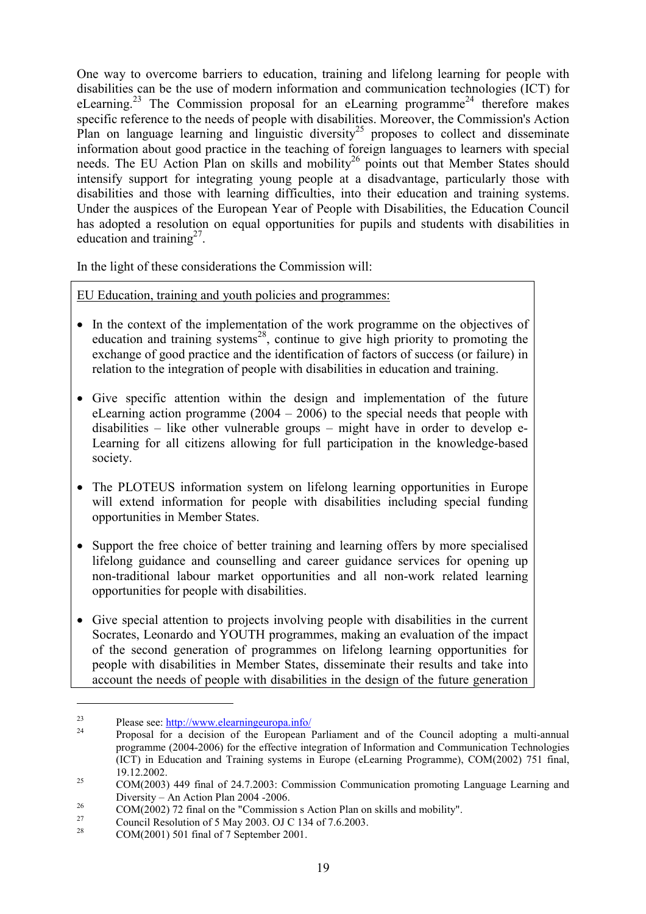One way to overcome barriers to education, training and lifelong learning for people with disabilities can be the use of modern information and communication technologies (ICT) for eLearning.<sup>23</sup> The Commission proposal for an eLearning programme<sup>24</sup> therefore makes specific reference to the needs of people with disabilities. Moreover, the Commission's Action Plan on language learning and linguistic diversity<sup>25</sup> proposes to collect and disseminate information about good practice in the teaching of foreign languages to learners with special needs. The EU Action Plan on skills and mobility<sup>26</sup> points out that Member States should intensify support for integrating young people at a disadvantage, particularly those with disabilities and those with learning difficulties, into their education and training systems. Under the auspices of the European Year of People with Disabilities, the Education Council has adopted a resolution on equal opportunities for pupils and students with disabilities in education and training $2^7$ .

In the light of these considerations the Commission will:

### EU Education, training and youth policies and programmes:

- In the context of the implementation of the work programme on the objectives of education and training systems<sup>28</sup>, continue to give high priority to promoting the exchange of good practice and the identification of factors of success (or failure) in relation to the integration of people with disabilities in education and training.
- Give specific attention within the design and implementation of the future eLearning action programme (2004 – 2006) to the special needs that people with disabilities – like other vulnerable groups – might have in order to develop e-Learning for all citizens allowing for full participation in the knowledge-based society.
- The PLOTEUS information system on lifelong learning opportunities in Europe will extend information for people with disabilities including special funding opportunities in Member States.
- Support the free choice of better training and learning offers by more specialised lifelong guidance and counselling and career guidance services for opening up non-traditional labour market opportunities and all non-work related learning opportunities for people with disabilities.
- Give special attention to projects involving people with disabilities in the current Socrates, Leonardo and YOUTH programmes, making an evaluation of the impact of the second generation of programmes on lifelong learning opportunities for people with disabilities in Member States, disseminate their results and take into account the needs of people with disabilities in the design of the future generation

<sup>&</sup>lt;sup>23</sup> Please see:  $\frac{http://www.elearningeuropa.info/}{24}$  Proposal for a decision of the European Parliament and of the Council adopting a multi-annual programme (2004-2006) for the effective integration of Information and Communication Technologies (ICT) in Education and Training systems in Europe (eLearning Programme), COM(2002) 751 final, 19.12.2002. <sup>25</sup> COM(2003) 449 final of 24.7.2003: Commission Communication promoting Language Learning and

Diversity – An Action Plan 2004 -2006.<br>
26 COM(2002) 72 final on the "Commission s Action Plan on skills and mobility".<br>
27 Council Resolution of 5 May 2003. OJ C 134 of 7.6.2003.<br>
28 COM(2001) 501 final of 7 September 200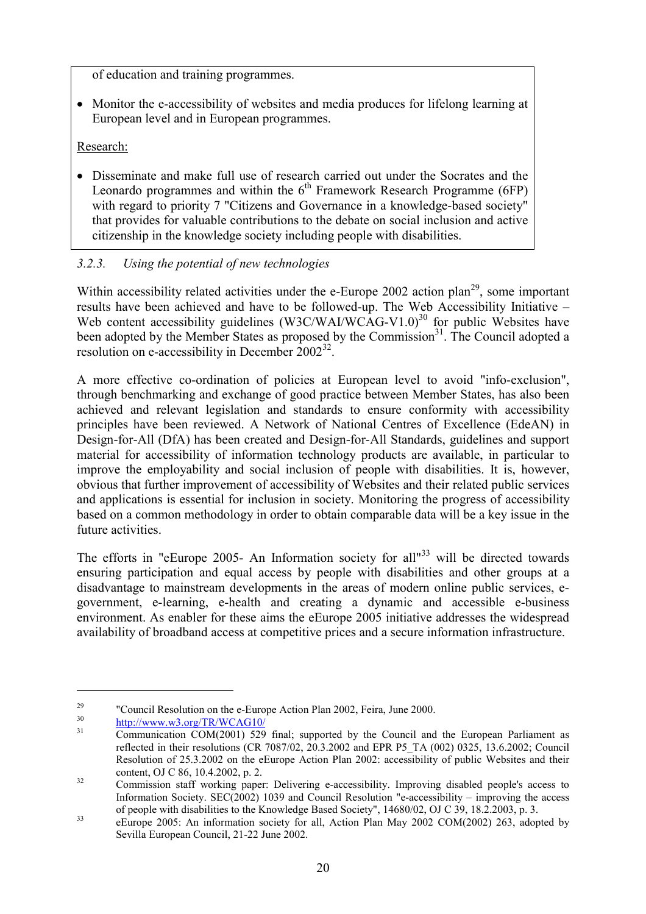of education and training programmes.

 Monitor the e-accessibility of websites and media produces for lifelong learning at European level and in European programmes.

Research:

 Disseminate and make full use of research carried out under the Socrates and the Leonardo programmes and within the  $6<sup>th</sup>$  Framework Research Programme (6FP) with regard to priority 7 "Citizens and Governance in a knowledge-based society" that provides for valuable contributions to the debate on social inclusion and active citizenship in the knowledge society including people with disabilities.

# *3.2.3. Using the potential of new technologies*

Within accessibility related activities under the e-Europe 2002 action plan<sup>29</sup>, some important results have been achieved and have to be followed-up. The Web Accessibility Initiative – Web content accessibility guidelines (W3C/WAI/WCAG-V1.0)<sup>30</sup> for public Websites have been adopted by the Member States as proposed by the Commission<sup>31</sup>. The Council adopted a resolution on e-accessibility in December  $2002^{32}$ .

A more effective co-ordination of policies at European level to avoid "info-exclusion", through benchmarking and exchange of good practice between Member States, has also been achieved and relevant legislation and standards to ensure conformity with accessibility principles have been reviewed. A Network of National Centres of Excellence (EdeAN) in Design-for-All (DfA) has been created and Design-for-All Standards, guidelines and support material for accessibility of information technology products are available, in particular to improve the employability and social inclusion of people with disabilities. It is, however, obvious that further improvement of accessibility of Websites and their related public services and applications is essential for inclusion in society. Monitoring the progress of accessibility based on a common methodology in order to obtain comparable data will be a key issue in the future activities.

The efforts in "eEurope 2005- An Information society for all  $133$  will be directed towards ensuring participation and equal access by people with disabilities and other groups at a disadvantage to mainstream developments in the areas of modern online public services, egovernment, e-learning, e-health and creating a dynamic and accessible e-business environment. As enabler for these aims the eEurope 2005 initiative addresses the widespread availability of broadband access at competitive prices and a secure information infrastructure.

<sup>&</sup>lt;sup>29</sup> "Council Resolution on the e-Europe Action Plan 2002, Feira, June 2000.<br><sup>30</sup> http://www.w3.org/TR/WCAG10/<br><sup>31</sup> Communication COM(2001) 529 final; supported by the Council and the European Parliament as reflected in their resolutions (CR 7087/02, 20.3.2002 and EPR P5\_TA (002) 0325, 13.6.2002; Council Resolution of 25.3.2002 on the eEurope Action Plan 2002: accessibility of public Websites and their content, OJ C 86, 10.4.2002, p. 2.<br>Commission staff working paper: Delivering e-accessibility. Improving disabled people's access to

Information Society. SEC(2002) 1039 and Council Resolution "e-accessibility – improving the access

of people with disabilities to the Knowledge Based Society", 14680/02, OJ C 39, 18.2.2003, p. 3.<br><sup>33</sup> eEurope 2005: An information society for all, Action Plan May 2002 COM(2002) 263, adopted by Sevilla European Council, 21-22 June 2002.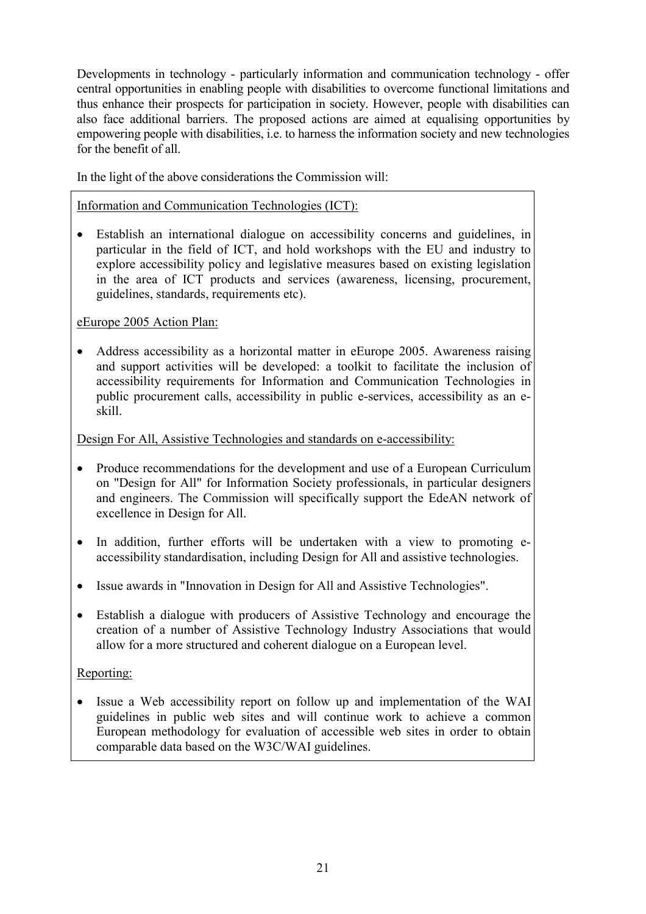Developments in technology - particularly information and communication technology - offer central opportunities in enabling people with disabilities to overcome functional limitations and thus enhance their prospects for participation in society. However, people with disabilities can also face additional barriers. The proposed actions are aimed at equalising opportunities by empowering people with disabilities, i.e. to harness the information society and new technologies for the benefit of all.

In the light of the above considerations the Commission will:

Information and Communication Technologies (ICT):

 Establish an international dialogue on accessibility concerns and guidelines, in particular in the field of ICT, and hold workshops with the EU and industry to explore accessibility policy and legislative measures based on existing legislation in the area of ICT products and services (awareness, licensing, procurement, guidelines, standards, requirements etc).

eEurope 2005 Action Plan:

• Address accessibility as a horizontal matter in eEurope 2005. Awareness raising and support activities will be developed: a toolkit to facilitate the inclusion of accessibility requirements for Information and Communication Technologies in public procurement calls, accessibility in public e-services, accessibility as an eskill.

Design For All, Assistive Technologies and standards on e-accessibility:

- Produce recommendations for the development and use of a European Curriculum on "Design for All" for Information Society professionals, in particular designers and engineers. The Commission will specifically support the EdeAN network of excellence in Design for All.
- In addition, further efforts will be undertaken with a view to promoting eaccessibility standardisation, including Design for All and assistive technologies.
- Issue awards in "Innovation in Design for All and Assistive Technologies".
- Establish a dialogue with producers of Assistive Technology and encourage the creation of a number of Assistive Technology Industry Associations that would allow for a more structured and coherent dialogue on a European level.

Reporting:

 Issue a Web accessibility report on follow up and implementation of the WAI guidelines in public web sites and will continue work to achieve a common European methodology for evaluation of accessible web sites in order to obtain comparable data based on the W3C/WAI guidelines.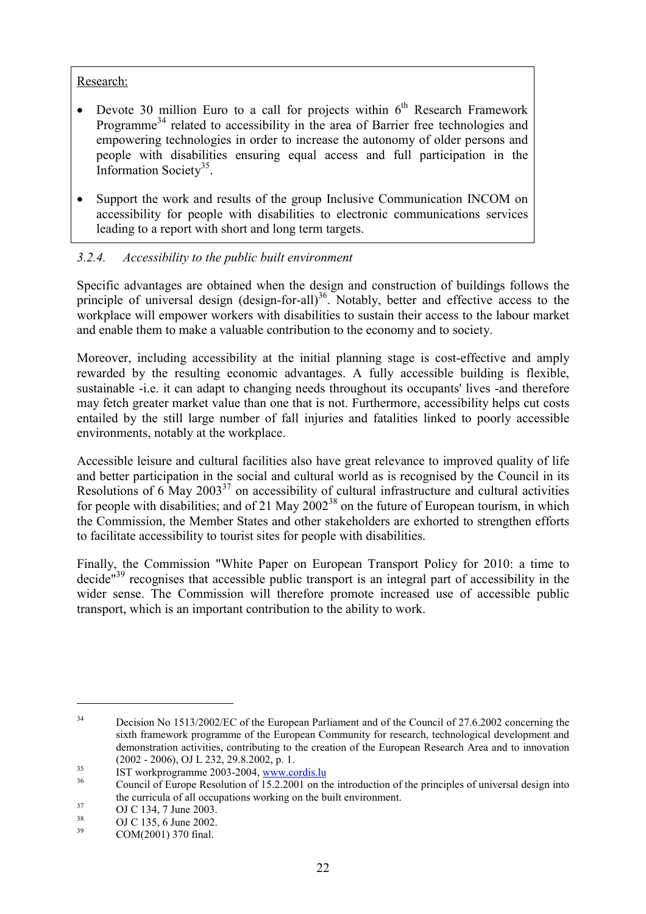### Research:

- Devote 30 million Euro to a call for projects within  $6<sup>th</sup>$  Research Framework Programme<sup>34</sup> related to accessibility in the area of Barrier free technologies and empowering technologies in order to increase the autonomy of older persons and people with disabilities ensuring equal access and full participation in the Information Society<sup>35</sup>.
- Support the work and results of the group Inclusive Communication INCOM on accessibility for people with disabilities to electronic communications services leading to a report with short and long term targets.

# *3.2.4. Accessibility to the public built environment*

Specific advantages are obtained when the design and construction of buildings follows the principle of universal design (design-for-all)<sup>36</sup>. Notably, better and effective access to the workplace will empower workers with disabilities to sustain their access to the labour market and enable them to make a valuable contribution to the economy and to society.

Moreover, including accessibility at the initial planning stage is cost-effective and amply rewarded by the resulting economic advantages. A fully accessible building is flexible, sustainable -i.e. it can adapt to changing needs throughout its occupants' lives -and therefore may fetch greater market value than one that is not. Furthermore, accessibility helps cut costs entailed by the still large number of fall injuries and fatalities linked to poorly accessible environments, notably at the workplace.

Accessible leisure and cultural facilities also have great relevance to improved quality of life and better participation in the social and cultural world as is recognised by the Council in its Resolutions of  $6$  May 2003<sup>37</sup> on accessibility of cultural infrastructure and cultural activities for people with disabilities; and of 21 May  $2002^{38}$  on the future of European tourism, in which the Commission, the Member States and other stakeholders are exhorted to strengthen efforts to facilitate accessibility to tourist sites for people with disabilities.

Finally, the Commission "White Paper on European Transport Policy for 2010: a time to decide<sup>"39</sup> recognises that accessible public transport is an integral part of accessibility in the wider sense. The Commission will therefore promote increased use of accessible public transport, which is an important contribution to the ability to work.

<sup>&</sup>lt;sup>34</sup> Decision No 1513/2002/EC of the European Parliament and of the Council of 27.6.2002 concerning the sixth framework programme of the European Community for research, technological development and demonstration activities, contributing to the creation of the European Research Area and to innovation

<sup>(2002 - 2006),</sup> OJ L 232, 29.8.2002, p. 1.<br>
IST workprogramme 2003-2004, www.cordis.lu<br>
<sup>36</sup> Council of Europe Resolution of 15.2.2001 on the introduction of the principles of universal design into the curricula of all occupations working on the built environment.<br>
OJ C 134, 7 June 2003.<br>
OJ C 135, 6 June 2002.<br>
COM(2001) 370 final.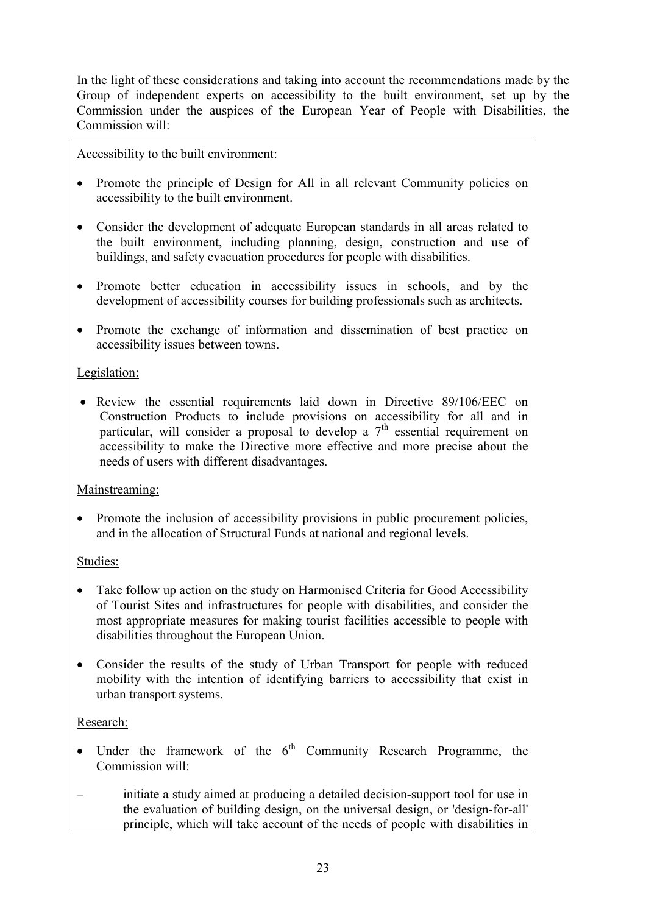In the light of these considerations and taking into account the recommendations made by the Group of independent experts on accessibility to the built environment, set up by the Commission under the auspices of the European Year of People with Disabilities, the Commission will:

Accessibility to the built environment:

- Promote the principle of Design for All in all relevant Community policies on accessibility to the built environment.
- Consider the development of adequate European standards in all areas related to the built environment, including planning, design, construction and use of buildings, and safety evacuation procedures for people with disabilities.
- Promote better education in accessibility issues in schools, and by the development of accessibility courses for building professionals such as architects.
- Promote the exchange of information and dissemination of best practice on accessibility issues between towns.

### Legislation:

 Review the essential requirements laid down in Directive 89/106/EEC on Construction Products to include provisions on accessibility for all and in particular, will consider a proposal to develop a  $7<sup>th</sup>$  essential requirement on accessibility to make the Directive more effective and more precise about the needs of users with different disadvantages.

### Mainstreaming:

• Promote the inclusion of accessibility provisions in public procurement policies, and in the allocation of Structural Funds at national and regional levels.

### Studies:

- Take follow up action on the study on Harmonised Criteria for Good Accessibility of Tourist Sites and infrastructures for people with disabilities, and consider the most appropriate measures for making tourist facilities accessible to people with disabilities throughout the European Union.
- Consider the results of the study of Urban Transport for people with reduced mobility with the intention of identifying barriers to accessibility that exist in urban transport systems.

### Research:

- Under the framework of the  $6<sup>th</sup>$  Community Research Programme, the Commission will:
- initiate a study aimed at producing a detailed decision-support tool for use in the evaluation of building design, on the universal design, or 'design-for-all' principle, which will take account of the needs of people with disabilities in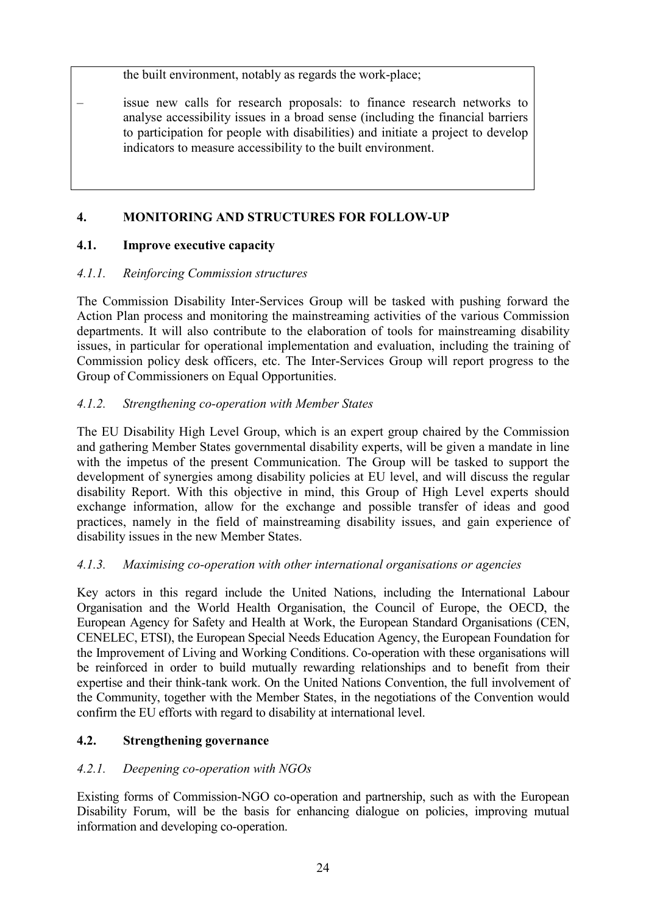the built environment, notably as regards the work-place;

– issue new calls for research proposals: to finance research networks to analyse accessibility issues in a broad sense (including the financial barriers to participation for people with disabilities) and initiate a project to develop indicators to measure accessibility to the built environment.

# **4. MONITORING AND STRUCTURES FOR FOLLOW-UP**

# **4.1. Improve executive capacity**

# *4.1.1. Reinforcing Commission structures*

The Commission Disability Inter-Services Group will be tasked with pushing forward the Action Plan process and monitoring the mainstreaming activities of the various Commission departments. It will also contribute to the elaboration of tools for mainstreaming disability issues, in particular for operational implementation and evaluation, including the training of Commission policy desk officers, etc. The Inter-Services Group will report progress to the Group of Commissioners on Equal Opportunities.

# *4.1.2. Strengthening co-operation with Member States*

The EU Disability High Level Group, which is an expert group chaired by the Commission and gathering Member States governmental disability experts, will be given a mandate in line with the impetus of the present Communication. The Group will be tasked to support the development of synergies among disability policies at EU level, and will discuss the regular disability Report. With this objective in mind, this Group of High Level experts should exchange information, allow for the exchange and possible transfer of ideas and good practices, namely in the field of mainstreaming disability issues, and gain experience of disability issues in the new Member States.

# *4.1.3. Maximising co-operation with other international organisations or agencies*

Key actors in this regard include the United Nations, including the International Labour Organisation and the World Health Organisation, the Council of Europe, the OECD, the European Agency for Safety and Health at Work, the European Standard Organisations (CEN, CENELEC, ETSI), the European Special Needs Education Agency, the European Foundation for the Improvement of Living and Working Conditions. Co-operation with these organisations will be reinforced in order to build mutually rewarding relationships and to benefit from their expertise and their think-tank work. On the United Nations Convention, the full involvement of the Community, together with the Member States, in the negotiations of the Convention would confirm the EU efforts with regard to disability at international level.

# **4.2. Strengthening governance**

# *4.2.1. Deepening co-operation with NGOs*

Existing forms of Commission-NGO co-operation and partnership, such as with the European Disability Forum, will be the basis for enhancing dialogue on policies, improving mutual information and developing co-operation.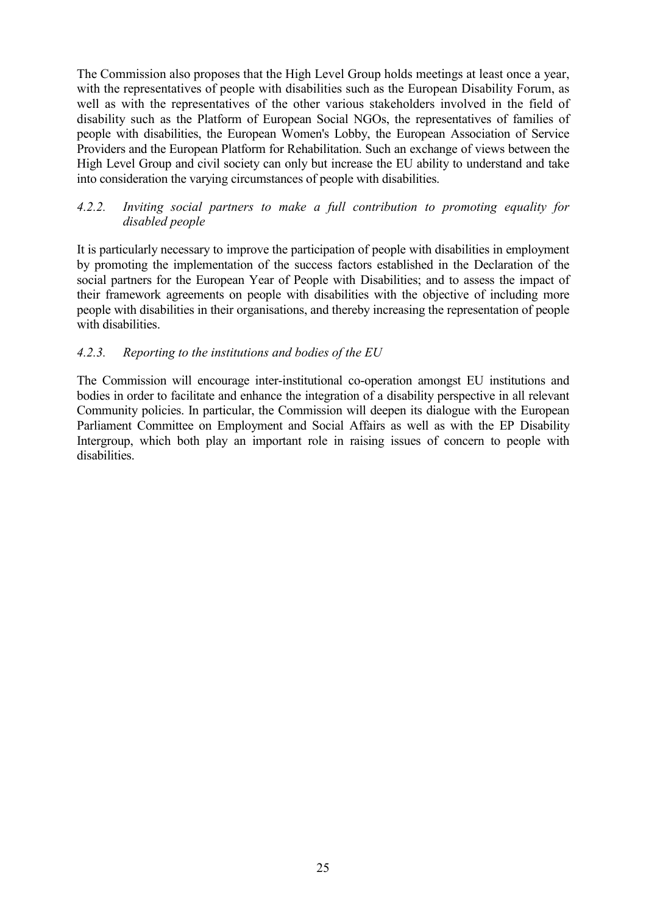The Commission also proposes that the High Level Group holds meetings at least once a year, with the representatives of people with disabilities such as the European Disability Forum, as well as with the representatives of the other various stakeholders involved in the field of disability such as the Platform of European Social NGOs, the representatives of families of people with disabilities, the European Women's Lobby, the European Association of Service Providers and the European Platform for Rehabilitation. Such an exchange of views between the High Level Group and civil society can only but increase the EU ability to understand and take into consideration the varying circumstances of people with disabilities.

### *4.2.2. Inviting social partners to make a full contribution to promoting equality for disabled people*

It is particularly necessary to improve the participation of people with disabilities in employment by promoting the implementation of the success factors established in the Declaration of the social partners for the European Year of People with Disabilities; and to assess the impact of their framework agreements on people with disabilities with the objective of including more people with disabilities in their organisations, and thereby increasing the representation of people with disabilities.

### *4.2.3. Reporting to the institutions and bodies of the EU*

The Commission will encourage inter-institutional co-operation amongst EU institutions and bodies in order to facilitate and enhance the integration of a disability perspective in all relevant Community policies. In particular, the Commission will deepen its dialogue with the European Parliament Committee on Employment and Social Affairs as well as with the EP Disability Intergroup, which both play an important role in raising issues of concern to people with disabilities.